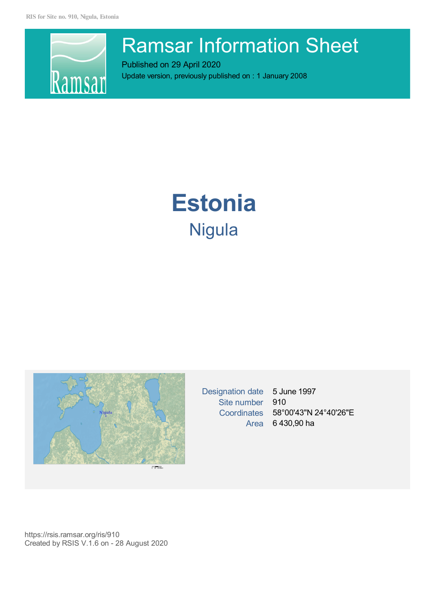

# Ramsar Information Sheet

Published on 29 April 2020 Update version, previously published on : 1 January 2008

# **Estonia** Nigula



Designation date 5 June 1997 Site number 910 Area 6 430,90 ha

Coordinates 58°00'43"N 24°40'26"E

https://rsis.ramsar.org/ris/910 Created by RSIS V.1.6 on - 28 August 2020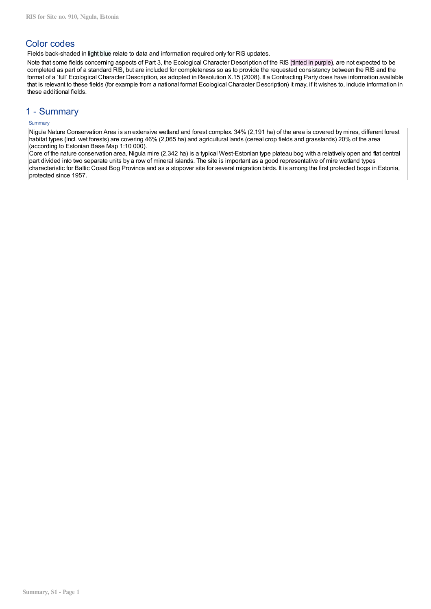# Color codes

Fields back-shaded in light blue relate to data and information required only for RIS updates.

Note that some fields concerning aspects of Part 3, the Ecological Character Description of the RIS (tinted in purple), are not expected to be completed as part of a standard RIS, but are included for completeness so as to provide the requested consistency between the RIS and the format of a 'full' Ecological Character Description, as adopted in Resolution X.15 (2008). If a Contracting Party does have information available that is relevant to these fields (for example from a national format Ecological Character Description) it may, if it wishes to, include information in these additional fields.

## 1 - Summary

## **Summary**

Nigula Nature Conservation Area is an extensive wetland and forest complex. 34% (2,191 ha) of the area is covered by mires, different forest habitat types (incl. wet forests) are covering 46% (2,065 ha) and agricultural lands (cereal crop fields and grasslands) 20% of the area (according to Estonian Base Map 1:10 000).

Core of the nature conservation area, Nigula mire (2,342 ha) is a typical West-Estonian type plateau bog with a relatively open and flat central part divided into two separate units by a row of mineral islands. The site is important as a good representative of mire wetland types characteristic for Baltic Coast Bog Province and as a stopover site for several migration birds. It is among the first protected bogs in Estonia, protected since 1957.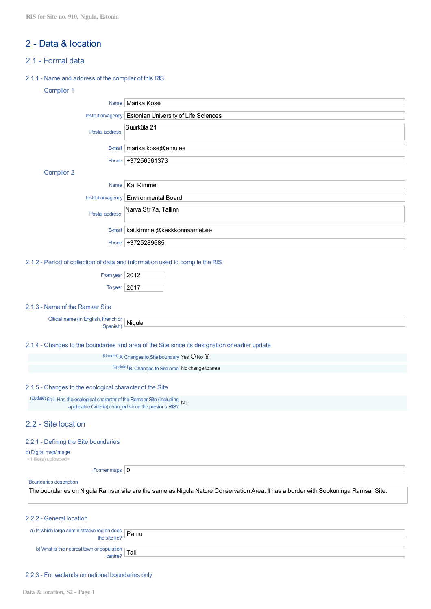# 2 - Data & location

## 2.1 - Formal data

## 2.1.1 - Name and address of the compiler of this RIS

## Compiler 1

| Name                                                                                                                                 | Marika Kose                                                                                                                        |  |  |  |  |  |
|--------------------------------------------------------------------------------------------------------------------------------------|------------------------------------------------------------------------------------------------------------------------------------|--|--|--|--|--|
| Institution/agency                                                                                                                   | Estonian University of Life Sciences                                                                                               |  |  |  |  |  |
| Postal address                                                                                                                       | Suurküla 21                                                                                                                        |  |  |  |  |  |
| E-mail                                                                                                                               | marika.kose@emu.ee                                                                                                                 |  |  |  |  |  |
| Phone                                                                                                                                | +37256561373                                                                                                                       |  |  |  |  |  |
| Compiler 2                                                                                                                           |                                                                                                                                    |  |  |  |  |  |
| Name                                                                                                                                 | Kai Kimmel                                                                                                                         |  |  |  |  |  |
| Institution/agency                                                                                                                   | <b>Environmental Board</b>                                                                                                         |  |  |  |  |  |
| Postal address                                                                                                                       | Narva Str 7a, Tallinn                                                                                                              |  |  |  |  |  |
| E-mail                                                                                                                               | kai.kimmel@keskkonnaamet.ee                                                                                                        |  |  |  |  |  |
| Phone                                                                                                                                | +3725289685                                                                                                                        |  |  |  |  |  |
| 2.1.2 - Period of collection of data and information used to compile the RIS                                                         |                                                                                                                                    |  |  |  |  |  |
| From year   2012                                                                                                                     |                                                                                                                                    |  |  |  |  |  |
| To year   2017                                                                                                                       |                                                                                                                                    |  |  |  |  |  |
| 2.1.3 - Name of the Ramsar Site                                                                                                      |                                                                                                                                    |  |  |  |  |  |
| Official name (in English, French or<br>Spanish)                                                                                     | Nigula                                                                                                                             |  |  |  |  |  |
|                                                                                                                                      | 2.1.4 - Changes to the boundaries and area of the Site since its designation or earlier update                                     |  |  |  |  |  |
|                                                                                                                                      | (Update) A Changes to Site boundary Yes O No O                                                                                     |  |  |  |  |  |
|                                                                                                                                      | (Update) B. Changes to Site area No change to area                                                                                 |  |  |  |  |  |
| 2.1.5 - Changes to the ecological character of the Site                                                                              |                                                                                                                                    |  |  |  |  |  |
| (Update) 6b i. Has the ecological character of the Ramsar Site (including No<br>applicable Criteria) changed since the previous RIS? |                                                                                                                                    |  |  |  |  |  |
| 2.2 - Site location                                                                                                                  |                                                                                                                                    |  |  |  |  |  |
| 2.2.1 - Defining the Site boundaries                                                                                                 |                                                                                                                                    |  |  |  |  |  |
| b) Digital map/image<br><1 file(s) uploaded>                                                                                         |                                                                                                                                    |  |  |  |  |  |
| Former maps $\vert 0 \vert$                                                                                                          |                                                                                                                                    |  |  |  |  |  |
| <b>Boundaries description</b>                                                                                                        |                                                                                                                                    |  |  |  |  |  |
|                                                                                                                                      | The boundaries on Nigula Ramsar site are the same as Nigula Nature Conservation Area. It has a border with Sookuninga Ramsar Site. |  |  |  |  |  |
| 2.2.2 - General location                                                                                                             |                                                                                                                                    |  |  |  |  |  |
| a) In which large administrative region does<br>the site lie?                                                                        | Pärnu                                                                                                                              |  |  |  |  |  |
| b) What is the nearest town or population<br>centre?                                                                                 | Tali                                                                                                                               |  |  |  |  |  |

## 2.2.3 - For wetlands on national boundaries only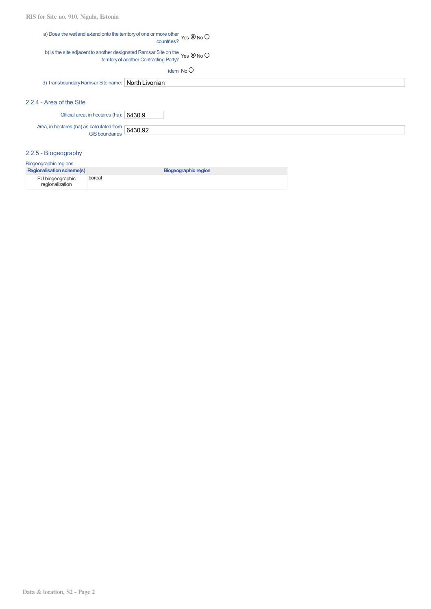## a) Does the wetland extend onto the territoryof one or more other nore other Yes O No (

#### b) Is the site adjacent to another designated Ramsar Site on the ves O No (territory of another Contracting Party?

idem No

d) Transboundary Ramsar Site name: North Livonian

## 2.2.4 - Area of the Site

| Official area, in hectares (ha): 6430.9                     |  |
|-------------------------------------------------------------|--|
| Area, in hectares (ha) as calculated from $\boxed{6430.92}$ |  |

## 2.2.5 - Biogeography

| Biogeographic regions               |                      |  |  |  |  |
|-------------------------------------|----------------------|--|--|--|--|
| <b>Regionalisation scheme(s)</b>    | Biogeographic region |  |  |  |  |
| EU biogeographic<br>regionalization | boreal               |  |  |  |  |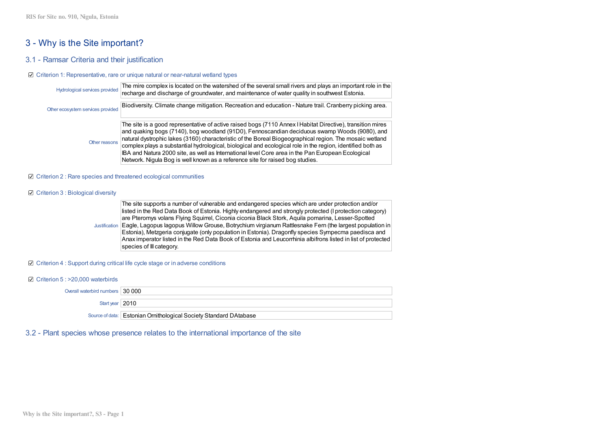# 3 - Why is the Site important?

## 3.1 - Ramsar Criteria and their justification

#### ■ Criterion 1: Representative, rare or unique natural or near-natural wetland types

| Hydrological services provided    | The mire complex is located on the watershed of the several small rivers and plays an important role in the<br>recharge and discharge of groundwater, and maintenance of water quality in southwest Estonia.                                                                                                                                                                                                                                                                                                                                                                                                              |
|-----------------------------------|---------------------------------------------------------------------------------------------------------------------------------------------------------------------------------------------------------------------------------------------------------------------------------------------------------------------------------------------------------------------------------------------------------------------------------------------------------------------------------------------------------------------------------------------------------------------------------------------------------------------------|
| Other ecosystem services provided | Biodiversity. Climate change mitigation. Recreation and education - Nature trail. Cranberry picking area.                                                                                                                                                                                                                                                                                                                                                                                                                                                                                                                 |
| Other reasons                     | The site is a good representative of active raised bogs (7110 Annex I Habitat Directive), transition mires<br>and quaking bogs (7140), bog woodland (91D0), Fennoscandian deciduous swamp Woods (9080), and<br>natural dystrophic lakes (3160) characteristic of the Boreal Biogeographical region. The mosaic wetland<br>complex plays a substantial hydrological, biological and ecological role in the region, identified both as<br>BA and Natura 2000 site, as well as International level Core area in the Pan European Ecological<br>Network. Nigula Bog is well known as a reference site for raised bog studies. |

#### ■ Criterion 2 : Rare species and threatened ecological communities

#### Criterion 3 : Biological diversity

Justification Eagle, Lagopus lagopus Willow Grouse, Botrychium virgianum Rattlesnake Fern (the largest population in The site supports a number of vulnerable and endangered species which are under protection and/or listed in the Red Data Book of Estonia. Highly endangered and strongly protected (I protection category) are Pteromys volans Flying Squirrel, Ciconia ciconia Black Stork, Aquila pomarina, Lesser-Spotted Estonia), Metzgeria conjugate (only population in Estonia). Dragonfly species Sympecma paedisca and Anax imperator listed in the Red Data Book of Estonia and Leucorrhinia albifrons listed in list of protected species of III category.

#### ■ Criterion 4 : Support during critical life cycle stage or in adverse conditions

Criterion 5 : >20,000 waterbirds

Overall waterbird numbers 30 000 Start year 2010 Source of data: Estonian Ornithological Society Standard DAtabase

## 3.2 - Plant species whose presence relates to the international importance of the site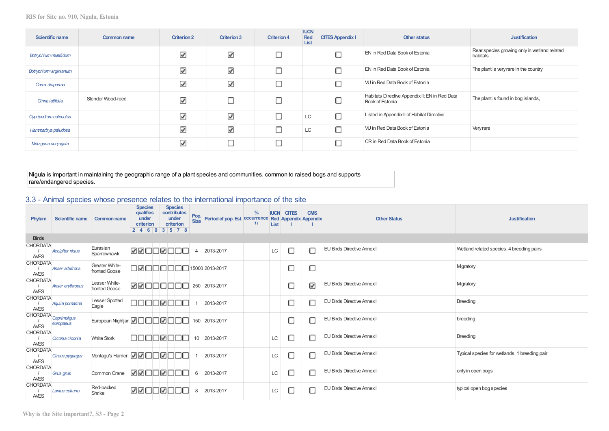| Scientific name        | <b>Common name</b> | <b>Criterion 2</b> | <b>Criterion 3</b> | <b>Criterion 4</b> | <b>IUCN</b><br>Red<br>List | <b>CITES Appendix I</b> | Other status                                                      | <b>Justification</b>                                     |
|------------------------|--------------------|--------------------|--------------------|--------------------|----------------------------|-------------------------|-------------------------------------------------------------------|----------------------------------------------------------|
| Botrychium multifidum  |                    | ☑                  | ☑                  | С                  |                            |                         | EN in Red Data Book of Estonia                                    | Rear species growing only in wetland related<br>habitats |
| Botrychium virginianum |                    | ⊽                  | ☑                  | С                  |                            |                         | EN in Red Data Book of Estonia                                    | The plant is very rare in the country                    |
| Carex disperma         |                    | ☑                  | ☑                  | С                  |                            |                         | VU in Red Data Book of Estonia                                    |                                                          |
| Cinna latifolia        | Slender Wood-reed  | ☑                  |                    | С                  |                            |                         | Habitats Directive Appendix II; EN in Red Data<br>Book of Estonia | The plant is found in bog islands,                       |
| Cypripedium calceolus  |                    | ☑                  | ☑                  | С                  | LC                         | О                       | Listed in Appendix II of Habitat Directive                        |                                                          |
| Hammarbya paludosa     |                    | ⊽                  | ☑                  | Е                  | LC                         | Ω                       | VU in Red Data Book of Estonia                                    | Very rare                                                |
| Metzgeria conjugata    |                    | ☑                  |                    | С                  |                            | ⊓                       | CR in Red Data Book of Estonia                                    |                                                          |

Nigula is important in maintaining the geographic range of a plant species and communities, common to raised bogs and supports rare/endangered species.

## 3.3 - Animal species whose presence relates to the international importance of the site

| Phylum                         | Scientific name                   | <b>Common name</b>                            | <b>Species</b><br>qualifies<br>under<br>criterion<br>2   4   6   9   3   5   7   8 | <b>Species</b><br>contributes<br>under<br>criterion | Pop.<br>Size   | Period of pop. Est. occurrence Red Appendix Appendix | $\frac{0}{0}$<br><b>IUCN</b><br>1)<br>List | <b>CITES</b> | <b>CMS</b>           | <b>Other Status</b>               | <b>Justification</b>                          |
|--------------------------------|-----------------------------------|-----------------------------------------------|------------------------------------------------------------------------------------|-----------------------------------------------------|----------------|------------------------------------------------------|--------------------------------------------|--------------|----------------------|-----------------------------------|-----------------------------------------------|
| <b>Birds</b>                   |                                   |                                               |                                                                                    |                                                     |                |                                                      |                                            |              |                      |                                   |                                               |
| <b>CHORDATA</b><br><b>AVES</b> | <b>Accipiter nisus</b>            | Eurasian<br>Sparrowhawk                       | <b>ØØOOØOOO</b>                                                                    |                                                     | $\overline{4}$ | 2013-2017                                            | LC                                         | с            |                      | <b>EU Birds Directive Annex I</b> | Wetland related species, 4 breeding pairs     |
| <b>CHORDATA</b><br><b>AVES</b> | <b>Anser albifrons</b>            | <b>Greater White-</b><br>fronted Goose        | TØN.                                                                               |                                                     |                | 15000 2013-2017                                      |                                            |              |                      |                                   | Migratory                                     |
| <b>CHORDATA</b><br><b>AVES</b> | <b>Anser erythropus</b>           | Lesser White-<br>fronted Goose                | <b>ØØOOOO</b>                                                                      |                                                     | ╥              | 250 2013-2017                                        |                                            |              | $\blacktriangledown$ | <b>EU Birds Directive Annex I</b> | Mgratory                                      |
| <b>CHORDATA</b><br><b>AVES</b> | Aquila pomarina                   | <b>Lesser Spotted</b><br>Eagle                | ٦ľ                                                                                 | JMO                                                 |                | 2013-2017                                            |                                            |              |                      | <b>EU Birds Directive Annex I</b> | Breeding                                      |
| AVES                           | CHORDATA Caprimulgus<br>europaeus | European Nightjar <b>Do Do Do Do Do Do Do</b> |                                                                                    |                                                     |                | 150 2013-2017                                        |                                            |              |                      | <b>EU Birds Directive Annex I</b> | breeding                                      |
| <b>CHORDATA</b><br><b>AVES</b> | Ciconia ciconia                   | <b>White Stork</b>                            | - 111                                                                              | חסוΩ                                                | T<br>10        | 2013-2017                                            | LC                                         |              |                      | <b>EU Birds Directive Annex I</b> | <b>Breeding</b>                               |
| <b>CHORDATA</b><br>AVES        | Circus pygargus                   | Montagu's Harrier <b>MM</b> IDD <b>M</b> DD   |                                                                                    |                                                     |                | 2013-2017                                            | LC                                         |              |                      | <b>EU Birds Directive Annex I</b> | Typical species for wetlands. 1 breeding pair |
| <b>CHORDATA</b><br><b>AVES</b> | <b>Grus grus</b>                  | Common Crane                                  | <b>MALLMOU</b>                                                                     |                                                     | 6              | 2013-2017                                            | LC                                         |              |                      | <b>EU Birds Directive Annex I</b> | only in open bogs                             |
| <b>CHORDATA</b><br><b>AVES</b> | Lanius collurio                   | Red-backed<br>Shrike                          | ØØOOØOOO                                                                           |                                                     | 8              | 2013-2017                                            | LC                                         |              |                      | <b>EU Birds Directive Annex I</b> | typical open bog species                      |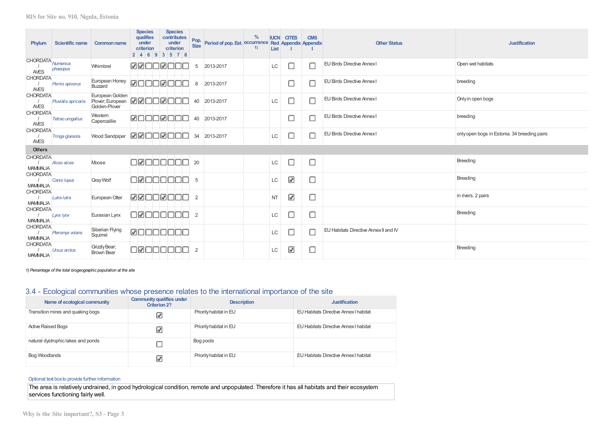| Phylum                             | <b>Scientific name</b> | <b>Common name</b>                                                    | <b>Species</b><br>qualifies<br>under<br>criterion<br>2 4 6 9 3 5 7 8 | <b>Species</b><br>contributes<br>under<br>criterion | Pop.<br><b>Size</b> | $\%$<br>Period of pop. Est. Occurrence Red Appendix Appendix<br>1) | List      | <b>IUCN CITES</b> | <b>CMS</b> | <b>Other Status</b>                   | <b>Justification</b>                         |
|------------------------------------|------------------------|-----------------------------------------------------------------------|----------------------------------------------------------------------|-----------------------------------------------------|---------------------|--------------------------------------------------------------------|-----------|-------------------|------------|---------------------------------------|----------------------------------------------|
| CHORDATA Numenius<br><b>AVES</b>   | phaeopus               | Whimbrel                                                              | RREEREE                                                              |                                                     | 5                   | 2013-2017                                                          | <b>LC</b> | О                 | с          | <b>EU Birds Directive Annex I</b>     | Open wet habitats                            |
| <b>CHORDATA</b><br><b>AVES</b>     | Pernis apivorus        | European Honey<br>Buzzard                                             | <b>MOOOMOC</b>                                                       |                                                     | 8                   | 2013-2017                                                          |           | □                 | E          | <b>EU Birds Directive Annex I</b>     | breeding                                     |
| <b>CHORDATA</b><br><b>AVES</b>     | Pluvialis apricaria    | European Golden<br>Plover, European <b>200000000</b><br>Golden-Plover |                                                                      |                                                     | 40                  | 2013-2017                                                          | LC        | Ω                 | с          | <b>EU Birds Directive Annex I</b>     | Only in open bogs                            |
| <b>CHORDATA</b><br><b>AVES</b>     | Tetrao urogallus       | Western<br>Capercaillie                                               | <u> Muuumuu</u>                                                      |                                                     | 40                  | 2013-2017                                                          |           | □                 | Е          | <b>EU Birds Directive Annex I</b>     | breeding                                     |
| <b>CHORDATA</b><br><b>AVES</b>     | Tringa glareola        | <b>Wood Sandpiper</b>                                                 | <b>M</b> ZOOZOOO                                                     |                                                     | 34                  | 2013-2017                                                          | LC        | □                 | $\Box$     | <b>EU Birds Directive Annex I</b>     | only open bogs in Estonia. 34 breeding pairs |
| <b>Others</b>                      |                        |                                                                       |                                                                      |                                                     |                     |                                                                    |           |                   |            |                                       |                                              |
| <b>CHORDATA</b><br><b>MAMMALIA</b> | <b>Alces alces</b>     | Moose                                                                 | 1000000                                                              |                                                     | 20                  |                                                                    | LC        | О                 | О          |                                       | <b>Breeding</b>                              |
| <b>CHORDATA</b><br><b>MAMMALIA</b> | Canis lupus            | <b>Gray Wolf</b>                                                      | חחחחחΩר                                                              |                                                     | 5                   |                                                                    | <b>LC</b> | ⊽                 | $\Box$     |                                       | <b>Breeding</b>                              |
| <b>CHORDATA</b><br><b>MAMMALIA</b> | Lutra lutra            | European Otter                                                        | RROOROO                                                              |                                                     | $\overline{2}$      |                                                                    | <b>NT</b> | ⊽                 | О          |                                       | in rivers. 2 pairs                           |
| <b>CHORDATA</b><br><b>MAMMALIA</b> | Lynx lynx              | Eurasian Lynx                                                         | 10000000                                                             |                                                     | 2                   |                                                                    | LC        | $\Box$            | С          |                                       | <b>Breeding</b>                              |
| <b>CHORDATA</b><br><b>MAMMALIA</b> | Pteromys volans        | Siberian Flying<br>Squirrel                                           | <b>ØOOOOOO</b>                                                       |                                                     |                     |                                                                    | LС        | О                 | ∩          | EU Habitats Directive Annex II and IV |                                              |
| <b>CHORDATA</b><br><b>MAMMALIA</b> | <b>Ursus arctos</b>    | Grizzly Bear;<br><b>Brown Bear</b>                                    | 100000                                                               |                                                     | $\overline{2}$      |                                                                    | LC        | ⊽                 | $\Box$     |                                       | <b>Breeding</b>                              |

*1) Percentage of the total biogeographic population at the site*

## 3.4 - Ecological communities whose presence relates to the international importance of the site

| Name of ecological community       | <b>Community qualifies under</b><br><b>Criterion 2?</b> | <b>Description</b>     | <b>Justification</b>                  |
|------------------------------------|---------------------------------------------------------|------------------------|---------------------------------------|
| Transition mires and quaking bogs  | ☑                                                       | Priority habitat in EU | EU Habitats Directive Annex I habitat |
| <b>Active Raised Bogs</b>          | ☑                                                       | Priority habitat in EU | EU Habitats Directive Annex I habitat |
| natural dystrophic lakes and ponds |                                                         | Bog pools              |                                       |
| Bog Woodlands                      | V                                                       | Priority habitat in EU | EU Habitats Directive Annex I habitat |

## Optional text boxto provide further information

The area is relatively undrained, in good hydrological condition, remote and unpopulated. Therefore it has all habitats and their ecosystem services functioning fairly well.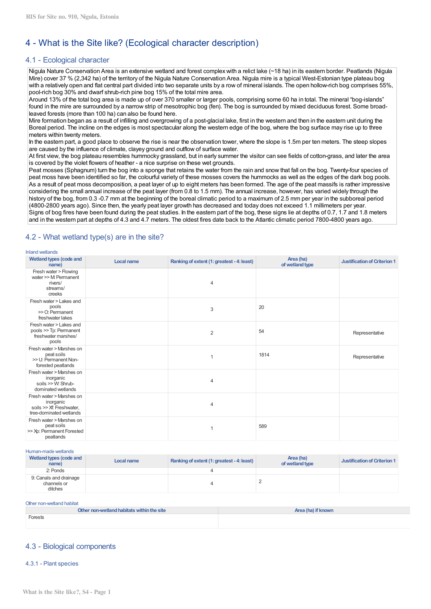# 4 - What is the Site like? (Ecological character description)

## 4.1 - Ecological character

Nigula Nature Conservation Area is an extensive wetland and forest complex with a relict lake (~18 ha) in its eastern border. Peatlands (Nigula Mire) cover 37 % (2,342 ha) of the territory of the Nigula Nature Conservation Area. Nigula mire is a typical West-Estonian type plateau bog with a relatively open and flat central part divided into two separate units by a row of mineral islands. The open hollow-rich bog comprises 55%, pool-rich bog 30% and dwarf shrub-rich pine bog 15% of the total mire area.

Around 13% of the total bog area is made up of over 370 smaller or larger pools, comprising some 60 ha in total. The mineral "bog-islands" found in the mire are surrounded by a narrow strip of mesotrophic bog (fen). The bog is surrounded by mixed deciduous forest. Some broadleaved forests (more than 100 ha) can also be found here.

Mire formation began as a result of infilling and overgrowing of a post-glacial lake, first in the western and then in the eastern unit during the Boreal period. The incline on the edges is most spectacular along the western edge of the bog, where the bog surface may rise up to three meters within twenty meters.

In the eastern part, a good place to observe the rise is near the observation tower, where the slope is 1.5m per ten meters. The steep slopes are caused by the influence of climate, clayey ground and outflow of surface water.

At first view, the bog plateau resembles hummocky grassland, but in early summer the visitor can see fields of cotton-grass, and later the area is covered by the violet flowers of heather - a nice surprise on these wet grounds.

Peat mosses (Sphagnum) turn the bog into a sponge that retains the water from the rain and snow that fall on the bog. Twenty-four species of peat moss have been identified so far, the colourful variety of these mosses covers the hummocks as well as the edges of the dark bog pools. As a result of peat moss decomposition, a peat layer of up to eight meters has been formed. The age of the peat massifs is rather impressive considering the small annual increase of the peat layer (from 0.8 to 1.5 mm). The annual increase, however, has varied widely through the history of the bog, from 0.3 -0.7 mm at the beginning of the boreal climatic period to a maximum of 2.5 mm per year in the subboreal period (4800-2800 years ago). Since then, the yearly peat layer growth has decreased and today does not exceed 1.1 millimeters per year. Signs of bog fires have been found during the peat studies. In the eastern part of the bog, these signs lie at depths of 0.7, 1.7 and 1.8 meters and in the western part at depths of 4.3 and 4.7 meters. The oldest fires date back to the Atlantic climatic period 7800-4800 years ago.

| <b>Wetland types (code and</b><br>name)                                                      | <b>Local name</b> | Ranking of extent (1: greatest - 4: least) | Area (ha)<br>of wetland type | <b>Justification of Criterion 1</b> |
|----------------------------------------------------------------------------------------------|-------------------|--------------------------------------------|------------------------------|-------------------------------------|
| Fresh water > Flowing<br>water >> M: Permanent<br>rivers/<br>streams/<br>creeks              |                   | 4                                          |                              |                                     |
| Fresh water > Lakes and<br>pools<br>>> O: Permanent<br>freshwater lakes                      |                   | 3                                          | 20                           |                                     |
| Fresh water > Lakes and<br>pools >> Tp: Permanent<br>freshwater marshes/<br>pools            |                   | $\overline{2}$                             | 54                           | Representative                      |
| Fresh water > Marshes on<br>peat soils<br>>> U: Permanent Non-<br>forested peatlands         |                   |                                            | 1814                         | Representative                      |
| Fresh water > Marshes on<br>inorganic<br>soils >> W: Shrub-<br>dominated wetlands            |                   | 4                                          |                              |                                     |
| Fresh water > Marshes on<br>inorganic<br>soils >> Xf: Freshwater,<br>tree-dominated wetlands |                   | 4                                          |                              |                                     |
| Fresh water > Marshes on<br>peat soils<br>>> Xp: Permanent Forested<br>peatlands             |                   |                                            | 589                          |                                     |

# 4.2 - What wetland type(s) are in the site?

Inland wetlands

| Human-made wetlands                              |            |                                            |                              |                              |
|--------------------------------------------------|------------|--------------------------------------------|------------------------------|------------------------------|
| Wetland types (code and<br>name)                 | Local name | Ranking of extent (1: greatest - 4: least) | Area (ha)<br>of wetland type | Justification of Criterion 1 |
| 2: Ponds                                         |            |                                            |                              |                              |
| 9: Canals and drainage<br>channels or<br>ditches |            |                                            |                              |                              |

#### Other non-wetland habitat

| Other non-wetland habitats within the site | Area (ha) if known |
|--------------------------------------------|--------------------|
| Forests                                    |                    |
|                                            |                    |

## 4.3 - Biological components

#### 4.3.1 - Plant species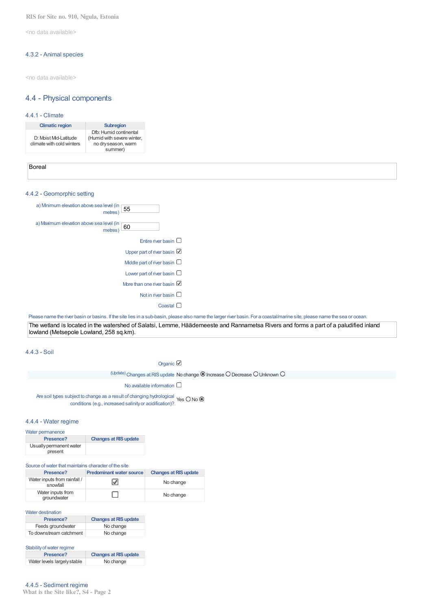**RIS for Site no. 910, Nigula, Estonia**

<no data available>

#### 4.3.2 - Animal species

<no data available>

## 4.4 - Physical components

## 4.4.1 - Climate

| <b>Climatic region</b>                             | <b>Subregion</b>                                                                       |
|----------------------------------------------------|----------------------------------------------------------------------------------------|
| D: Moist Mid-Latitude<br>climate with cold winters | Dfb: Humid continental<br>(Humid with severe winter,<br>no dry season, warm<br>summer) |

| - |  |  |
|---|--|--|
|   |  |  |

## 4.4.2 - Geomorphic setting

| 55                                    | a) Minimum elevation above sea level (in<br>metres) |
|---------------------------------------|-----------------------------------------------------|
| 60                                    | a) Maximum elevation above sea level (in<br>metres) |
| Entire river basin $\square$          |                                                     |
| Upper part of river basin             |                                                     |
| Middle part of river basin $\square$  |                                                     |
| Lower part of river basin $\square$   |                                                     |
| More than one river basin $\mathbb Z$ |                                                     |
| Not in river basin $\square$          |                                                     |
| Coastal                               |                                                     |
|                                       |                                                     |

Please name the river basin or basins. If the site lies in a sub-basin, please also name the larger river basin. For a coastal/marine site, please name the sea or ocean.

The wetland is located in the watershed of Salatsi, Lemme, Häädemeeste and Rannametsa Rivers and forms a part of a paludified inland lowland (Metsepole Lowland, 258 sq.km).

4.4.3 - Soil

Organic <sup>2</sup>

## $U_{\text{pdate}}$ ) Changes at RIS update No change  $\textcircled{\textsc{1}}$  Increase  $\textcircled{\textsc{1}}$  Unknown  $\textcircled{\textsc{1}}$

No available information  $\square$ 

#### Are soil types subject to change as a result of changing hydrological<br>Are Soil types subject to change as a result of changing hydrological Yes O No conditions (e.g., increased salinityor acidification)?

#### 4.4.4 - Water regime

Water permanence

| Presence?                          | <b>Changes at RIS update</b> |
|------------------------------------|------------------------------|
| Usually permanent water<br>present |                              |

#### Source ofwater that maintains character of the site

| Presence?                                | <b>Predominant water source</b> | <b>Changes at RIS update</b> |
|------------------------------------------|---------------------------------|------------------------------|
| Water inputs from rainfall /<br>snowfall | V                               | No change                    |
| Water inputs from<br>groundwater         |                                 | No change                    |

#### Water destination

| Presence?               | <b>Changes at RIS update</b> |
|-------------------------|------------------------------|
| Feeds groundwater       | No change                    |
| To downstream catchment | No change                    |

Stability of water regime

| Presence?                   | <b>Changes at RIS update</b> |
|-----------------------------|------------------------------|
| Water levels largely stable | No change                    |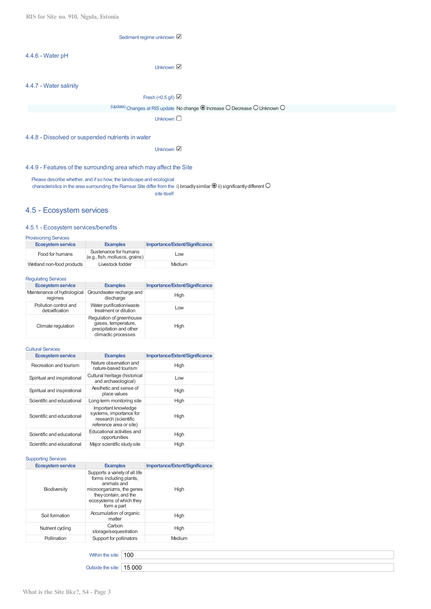Sediment regime unknown

## 4.4.6 - Water pH

Unknown **☑** 

## 4.4.7 - Water salinity

Fresh (< $0.5$  g/l)  $\boxtimes$ 

(Update) Changes at RIS update No change @ Increase O Decrease O Unknown O

Unknown  $\square$ 

## 4.4.8 - Dissolved or suspended nutrients in water

Unknown **☑** 

## 4.4.9 - Features of the surrounding area which may affect the Site

Please describe whether, and if so how, the landscape and ecological characteristics in the area surrounding the Ramsar Site differ from the i) broadly similar  $\bullet$  ii) significantly different site itself:

## 4.5 - Ecosystem services

#### 4.5.1 - Ecosystem services/benefits

| <b>Provisioning Services</b> |                                                         |                                |  |
|------------------------------|---------------------------------------------------------|--------------------------------|--|
| <b>Ecosystem service</b>     | <b>Examples</b>                                         | Importance/Extent/Significance |  |
| Food for humans              | Sustenance for humans<br>(e.g., fish, molluscs, grains) | Low                            |  |
| Wetland non-food products    | Livestock fodder                                        | Medium                         |  |

## Regulating Services

| <b>Ecosystem service</b>                | <b>Examples</b>                                                                                   | Importance/Extent/Significance |
|-----------------------------------------|---------------------------------------------------------------------------------------------------|--------------------------------|
| Maintenance of hydrological<br>regimes  | Groundwater recharge and<br>discharge                                                             | High                           |
| Pollution control and<br>detoxification | Water purification/waste<br>treatment or dilution                                                 | Low                            |
| Climate regulation                      | Regulation of greenhouse<br>gases, temperature,<br>precipitation and other<br>climactic processes | High                           |

#### Cultural Services

| <b>Ecosystem service</b>    | <b>Examples</b>                                                                                   | Importance/Extent/Significance |
|-----------------------------|---------------------------------------------------------------------------------------------------|--------------------------------|
| Recreation and tourism      | Nature observation and<br>nature-based tourism                                                    | High                           |
| Spiritual and inspirational | Cultural heritage (historical<br>and archaeological)                                              | Low                            |
| Spiritual and inspirational | Aesthetic and sense of<br>place values                                                            | High                           |
| Scientific and educational  | Long-term monitoring site                                                                         | High                           |
| Scientific and educational  | Important knowledge<br>systems, importance for<br>research (scientific<br>reference area or site) | High                           |
| Scientific and educational  | Educational activities and<br>opportunities                                                       | High                           |
| Scientific and educational  | Maior scientific study site                                                                       | High                           |

#### Supporting Services

| <b>Ecosystem service</b> | <b>Examples</b>                                                                                                                                                           | Importance/Extent/Significance |
|--------------------------|---------------------------------------------------------------------------------------------------------------------------------------------------------------------------|--------------------------------|
| <b>Biodiversity</b>      | Supports a variety of all life<br>forms including plants,<br>animals and<br>microorganizms, the genes<br>they contain, and the<br>ecosystems of which they<br>form a part | High                           |
| Soil formation           | Accumulation of organic<br>matter                                                                                                                                         | High                           |
| Nutrient cycling         | Carbon<br>storage/sequestration                                                                                                                                           | High                           |
| Pollination              | Support for pollinators                                                                                                                                                   | Medium                         |

Within the site:  $\boxed{100}$ 

Outside the site: 15 000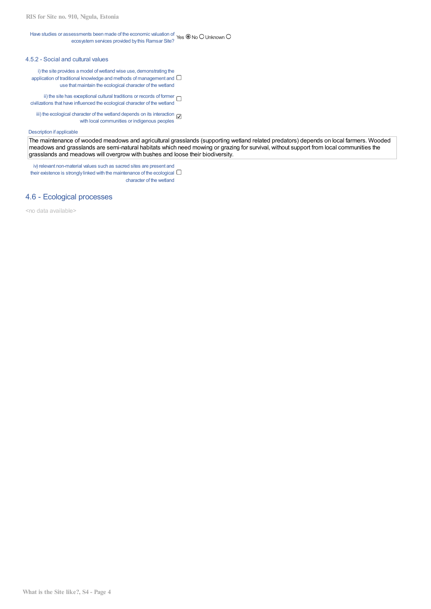#### Have studies or assessments been made of the economic valuation of ecosystem services provided by this Ramsar Site? Yes @ No O Unknown (

## 4.5.2 - Social and cultural values

i) the site provides a model of wetland wise use, demonstrating the application of traditional knowledge and methods of management and  $\Box$ use that maintain the ecological character of the wetland

ii) the site has exceptional cultural traditions or records of former  $\Box$ civilizations that have influenced the ecological character of the wetland

iii) the ecological character of the wetland depends on its interaction with local communities or indigenous peoples

#### Description if applicable

The maintenance of wooded meadows and agricultural grasslands (supporting wetland related predators) depends on local farmers. Wooded meadows and grasslands are semi-natural habitats which need mowing or grazing for survival, without support from local communities the grasslands and meadows will overgrow with bushes and loose their biodiversity.

iv) relevant non-material values such as sacred sites are present and their existence is strongly linked with the maintenance of the ecological  $\Box$ character of the wetland

## 4.6 - Ecological processes

<no data available>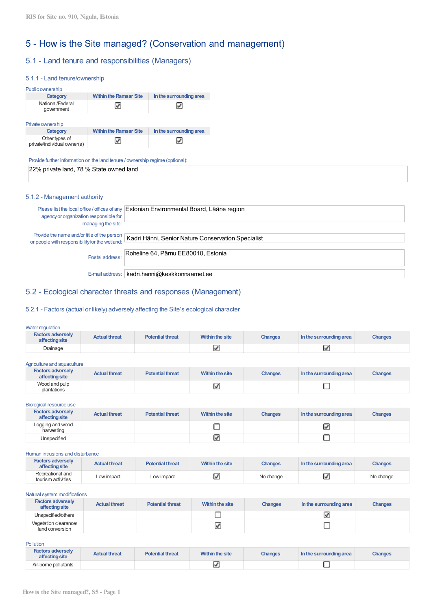# 5 - How is the Site managed? (Conservation and management)

# 5.1 - Land tenure and responsibilities (Managers)

#### 5.1.1 - Land tenure/ownership

| Public ownership               |                               |                         |
|--------------------------------|-------------------------------|-------------------------|
| Category                       | <b>Within the Ramsar Site</b> | In the surrounding area |
| National/Federal<br>government |                               |                         |

#### Private ownership

| Category                                      | <b>Within the Ramsar Site</b> | In the surrounding area |
|-----------------------------------------------|-------------------------------|-------------------------|
| Other types of<br>private/individual owner(s) |                               | ⊽                       |

Provide further information on the land tenure / ownership regime (optional):

22% private land, 78 % State owned land

#### 5.1.2 - Management authority

| Please list the local office / offices of any<br>agency or organization responsible for<br>managing the site: | Estonian Environmental Board, Lääne region         |
|---------------------------------------------------------------------------------------------------------------|----------------------------------------------------|
| Provide the name and/or title of the person<br>or people with responsibility for the wetland:                 | Kadri Hänni, Senior Nature Conservation Specialist |
| Postal address:                                                                                               | Roheline 64, Pärnu EE80010, Estonia                |
| E-mail address:                                                                                               | kadri.hanni@keskkonnaamet.ee                       |

## 5.2 - Ecological character threats and responses (Management)

## 5.2.1 - Factors (actual or likely) adversely affecting the Site's ecological character

#### Water regulation

| <b>Factors adversely</b><br>affecting site | <b>Actual threat</b> | <b>Potential threat</b> | <b>Within the site</b> | <b>Changes</b> | In the surrounding area | <b>Changes</b> |
|--------------------------------------------|----------------------|-------------------------|------------------------|----------------|-------------------------|----------------|
| Drainage                                   |                      |                         |                        |                |                         |                |

Agriculture and aquaculture

| <b>Factors adversely</b><br>affecting site | <b>Actual threat</b> | <b>Potential threat</b> | Within the site | <b>Changes</b> | In the surrounding area | <b>Changes</b> |
|--------------------------------------------|----------------------|-------------------------|-----------------|----------------|-------------------------|----------------|
| Wood and pulp<br>plantations               |                      |                         |                 |                |                         |                |

#### Biological resource use

| <b>Factors adversely</b><br>affecting site | <b>Actual threat</b> | <b>Potential threat</b> | Within the site | <b>Changes</b> | In the surrounding area | <b>Changes</b> |
|--------------------------------------------|----------------------|-------------------------|-----------------|----------------|-------------------------|----------------|
| Logging and wood<br>harvesting             |                      |                         |                 |                | v.                      |                |
| Unspecified                                |                      |                         |                 |                |                         |                |

#### Human intrusions and disturbance

| <b>Factors adversely</b><br>affecting site | <b>Actual threat</b> | <b>Potential threat</b> | Within the site | <b>Changes</b> | In the surrounding area | <b>Changes</b> |
|--------------------------------------------|----------------------|-------------------------|-----------------|----------------|-------------------------|----------------|
| Recreational and<br>tourism activities     | Low impact           | Low impact              |                 | No change      |                         | No change      |

#### Natural system modifications

| <b>Factors adversely</b><br>affecting site | <b>Actual threat</b> | <b>Potential threat</b> | Within the site | <b>Changes</b> | In the surrounding area | <b>Changes</b> |
|--------------------------------------------|----------------------|-------------------------|-----------------|----------------|-------------------------|----------------|
| Unspecified/others                         |                      |                         |                 |                |                         |                |
| Vegetation clearance/<br>land conversion   |                      |                         |                 |                |                         |                |

Pollution

| <b>Factors adversely</b><br>affecting site | <b>Actual threat</b> | <b>Potential threat</b> | Within the site | <b>Changes</b> | In the surrounding area | <b>Changes</b> |
|--------------------------------------------|----------------------|-------------------------|-----------------|----------------|-------------------------|----------------|
| Air-borne pollutants                       |                      |                         |                 |                |                         |                |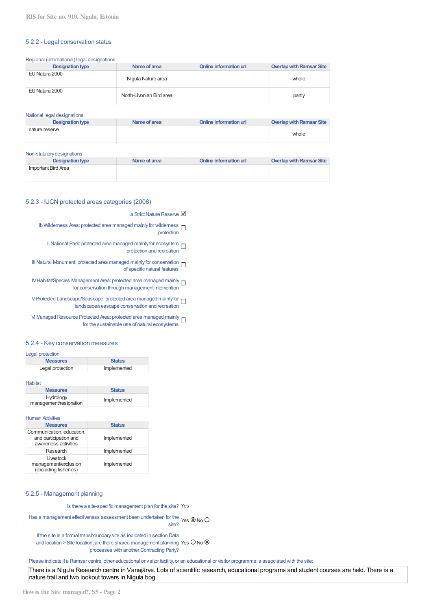#### 5.2.2 - Legal conservation status

Regional (international) legal designations

| Designation type | Name of area             | Online information url | Overlap with Ramsar Site |
|------------------|--------------------------|------------------------|--------------------------|
| EU Natura 2000   | Nigula Nature area       |                        | whole                    |
| EU Natura 2000   | North-Livonian Bird area |                        | partly                   |

| National legal designations |              |                        |                          |
|-----------------------------|--------------|------------------------|--------------------------|
| <b>Designation type</b>     | Name of area | Online information url | Overlap with Ramsar Site |
| nature reserve              |              |                        | whole                    |

#### Non-statutorydesignations

| <b>Designation type</b> | Name of area | Online information url | Overlap with Ramsar Site |
|-------------------------|--------------|------------------------|--------------------------|
| Important Bird Area     |              |                        |                          |
|                         |              |                        |                          |

## 5.2.3 - IUCN protected areas categories (2008)

Ia Strict Nature Reserve

Ib Wilderness Area: protected area managed mainly for wilderness  $\Box$ protection

II National Park: protected area managed mainly for ecosystem  $\Box$ protection and recreation

III Natural Monument: protected area managed mainly for conservation  $\Box$ of specific natural features

IVHabitat/Species Management Area: protected area managed mainly for conservation through management intervention

VProtected Landscape/Seascape: protected area managed mainlyfor landscape/seascape conservation and recreation

VI Managed Resource Protected Area: protected area managed mainly for the sustainable use of natural ecosystems

### 5.2.4 - Key conservation measures

| Legal protection |               |
|------------------|---------------|
| <b>Measures</b>  | <b>Status</b> |
| Legal protection | Implemented   |

Habitat

| <b>Measures</b>                     | <b>Status</b> |
|-------------------------------------|---------------|
| Hydrology<br>management/restoration | Implemented   |

## **Human Activities**

| <b>Measures</b>                                                            | <b>Status</b> |
|----------------------------------------------------------------------------|---------------|
| Communication, education,<br>and participation and<br>awareness activities | Implemented   |
| Research                                                                   | Implemented   |
| Livestock<br>management/exclusion<br>(excluding fisheries)                 | Implemented   |

## 5.2.5 - Management planning

Is there a site-specific management plan for the site? Yes

Has a management effectiveness assessment been undertaken for the Yes  $\bigcirc$  No ( site?

If the site is a formal transboundarysite as indicated in section Data and location > Site location, are there shared management planning Yes  $\circ$  No  $\circ$ processes with another Contracting Party?

Please indicate if a Ramsar centre, other educational or visitor facility, or an educational or visitor programme is associated with the site:

There is a Nigula Research centre in Vanajärve. Lots of scientific research, educational programs and student courses are held. There is a nature trail and two lookout towers in Nigula bog.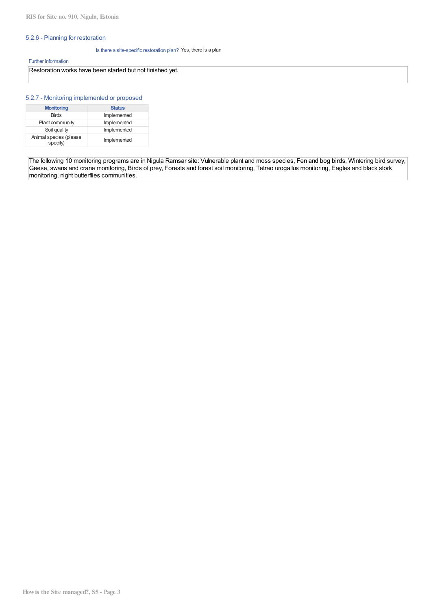## 5.2.6 - Planning for restoration

Is there a site-specific restoration plan? Yes, there is a plan

#### Further information

## Restoration works have been started but not finished yet.

## 5.2.7 - Monitoring implemented or proposed

| <b>Monitoring</b>                  | <b>Status</b> |
|------------------------------------|---------------|
| <b>Birds</b>                       | Implemented   |
| Plant community                    | Implemented   |
| Soil quality                       | Implemented   |
| Animal species (please<br>specify) | Implemented   |

The following 10 monitoring programs are in Nigula Ramsar site: Vulnerable plant and moss species, Fen and bog birds, Wintering bird survey, Geese, swans and crane monitoring, Birds of prey, Forests and forest soil monitoring, Tetrao urogallus monitoring, Eagles and black stork monitoring, night butterflies communities.